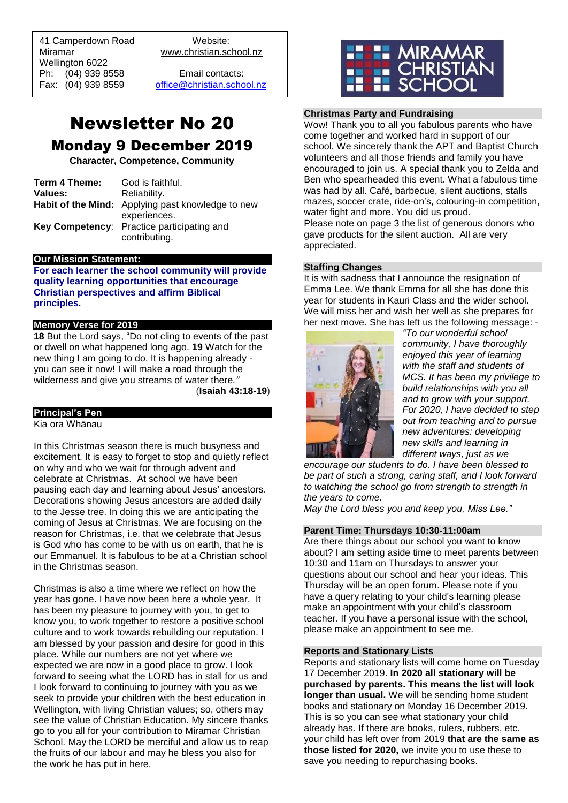41 Camperdown Road Website: Miramar www.christian.school.nz Wellington 6022 Ph: (04) 939 8558 Email contacts:

 $\overline{a}$ 

Fax: (04) 939 8559 [office@christian.school.nz](mailto:office@christian.school.nz)

# Newsletter No 20

#### Monday 9 December 2019

**Character, Competence, Community**

| Term 4 Theme: | God is faithful.                                         |
|---------------|----------------------------------------------------------|
| Values:       | Reliability.                                             |
|               | <b>Habit of the Mind:</b> Applying past knowledge to new |
|               | experiences.                                             |
|               | Key Competency: Practice participating and               |
|               | contributing.                                            |

#### **Our Mission Statement:**

**For each learner the school community will provide quality learning opportunities that encourage Christian perspectives and affirm Biblical principles***.*

#### **Memory Verse for 2019**

**18** But the Lord says, "Do not cling to events of the past or dwell on what happened long ago. **19** Watch for the new thing I am going to do. It is happening already you can see it now! I will make a road through the wilderness and give you streams of water there*."*

(**Isaiah 43:18-19**)

#### **Principal's Pen**

Kia ora Whānau

In this Christmas season there is much busyness and excitement. It is easy to forget to stop and quietly reflect on why and who we wait for through advent and celebrate at Christmas. At school we have been pausing each day and learning about Jesus' ancestors. Decorations showing Jesus ancestors are added daily to the Jesse tree. In doing this we are anticipating the coming of Jesus at Christmas. We are focusing on the reason for Christmas, i.e. that we celebrate that Jesus is God who has come to be with us on earth, that he is our Emmanuel. It is fabulous to be at a Christian school in the Christmas season.

Christmas is also a time where we reflect on how the year has gone. I have now been here a whole year. It has been my pleasure to journey with you, to get to know you, to work together to restore a positive school culture and to work towards rebuilding our reputation. I am blessed by your passion and desire for good in this place. While our numbers are not yet where we expected we are now in a good place to grow. I look forward to seeing what the LORD has in stall for us and I look forward to continuing to journey with you as we seek to provide your children with the best education in Wellington, with living Christian values; so, others may see the value of Christian Education. My sincere thanks go to you all for your contribution to Miramar Christian School. May the LORD be merciful and allow us to reap the fruits of our labour and may he bless you also for the work he has put in here.



#### **Christmas Party and Fundraising**

Wow! Thank you to all you fabulous parents who have come together and worked hard in support of our school. We sincerely thank the APT and Baptist Church volunteers and all those friends and family you have encouraged to join us. A special thank you to Zelda and Ben who spearheaded this event. What a fabulous time was had by all. Café, barbecue, silent auctions, stalls mazes, soccer crate, ride-on's, colouring-in competition, water fight and more. You did us proud. Please note on page 3 the list of generous donors who

gave products for the silent auction. All are very appreciated.

#### **Staffing Changes**

It is with sadness that I announce the resignation of Emma Lee. We thank Emma for all she has done this year for students in Kauri Class and the wider school. We will miss her and wish her well as she prepares for her next move. She has left us the following message: -



*"To our wonderful school community, I have thoroughly enjoyed this year of learning with the staff and students of MCS. It has been my privilege to build relationships with you all and to grow with your support. For 2020, I have decided to step out from teaching and to pursue new adventures: developing new skills and learning in different ways, just as we* 

*encourage our students to do. I have been blessed to be part of such a strong, caring staff, and I look forward to watching the school go from strength to strength in the years to come.*

*May the Lord bless you and keep you, Miss Lee."*

#### **Parent Time: Thursdays 10:30-11:00am**

Are there things about our school you want to know about? I am setting aside time to meet parents between 10:30 and 11am on Thursdays to answer your questions about our school and hear your ideas. This Thursday will be an open forum. Please note if you have a query relating to your child's learning please make an appointment with your child's classroom teacher. If you have a personal issue with the school, please make an appointment to see me.

#### **Reports and Stationary Lists**

Reports and stationary lists will come home on Tuesday 17 December 2019. **In 2020 all stationary will be purchased by parents. This means the list will look longer than usual.** We will be sending home student books and stationary on Monday 16 December 2019. This is so you can see what stationary your child already has. If there are books, rulers, rubbers, etc. your child has left over from 2019 **that are the same as those listed for 2020,** we invite you to use these to save you needing to repurchasing books.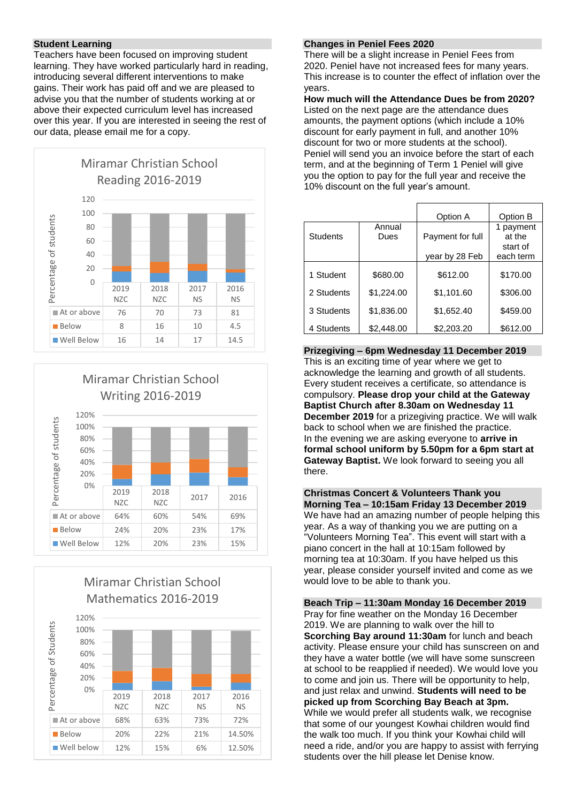#### **Student Learning**

Teachers have been focused on improving student learning. They have worked particularly hard in reading, introducing several different interventions to make gains. Their work has paid off and we are pleased to advise you that the number of students working at or above their expected curriculum level has increased over this year. If you are interested in seeing the rest of our data, please email me for a copy.





### Miramar Christian School Mathematics 2016-2019



#### **Changes in Peniel Fees 2020**

There will be a slight increase in Peniel Fees from 2020. Peniel have not increased fees for many years. This increase is to counter the effect of inflation over the years.

**How much will the Attendance Dues be from 2020?** Listed on the next page are the attendance dues amounts, the payment options (which include a 10% discount for early payment in full, and another 10% discount for two or more students at the school). Peniel will send you an invoice before the start of each term, and at the beginning of Term 1 Peniel will give you the option to pay for the full year and receive the 10% discount on the full year's amount.

|            |                | Option A         | Option B                      |
|------------|----------------|------------------|-------------------------------|
| Students   | Annual<br>Dues | Payment for full | payment<br>at the<br>start of |
|            |                | year by 28 Feb   | each term                     |
| 1 Student  | \$680.00       | \$612.00         | \$170.00                      |
| 2 Students | \$1,224.00     | \$1,101.60       | \$306.00                      |
| 3 Students | \$1,836.00     | \$1,652.40       | \$459.00                      |
| 4 Students | \$2,448.00     | \$2,203.20       | \$612.00                      |

**Prizegiving – 6pm Wednesday 11 December 2019** This is an exciting time of year where we get to acknowledge the learning and growth of all students. Every student receives a certificate, so attendance is compulsory. **Please drop your child at the Gateway Baptist Church after 8.30am on Wednesday 11 December 2019** for a prizegiving practice. We will walk back to school when we are finished the practice. In the evening we are asking everyone to **arrive in formal school uniform by 5.50pm for a 6pm start at Gateway Baptist.** We look forward to seeing you all there.

**Christmas Concert & Volunteers Thank you Morning Tea – 10:15am Friday 13 December 2019** We have had an amazing number of people helping this year. As a way of thanking you we are putting on a "Volunteers Morning Tea". This event will start with a piano concert in the hall at 10:15am followed by morning tea at 10:30am. If you have helped us this year, please consider yourself invited and come as we would love to be able to thank you.

**Beach Trip – 11:30am Monday 16 December 2019** Pray for fine weather on the Monday 16 December 2019. We are planning to walk over the hill to **Scorching Bay around 11:30am** for lunch and beach activity. Please ensure your child has sunscreen on and they have a water bottle (we will have some sunscreen at school to be reapplied if needed). We would love you to come and join us. There will be opportunity to help, and just relax and unwind. **Students will need to be picked up from Scorching Bay Beach at 3pm.**  While we would prefer all students walk, we recognise that some of our youngest Kowhai children would find the walk too much. If you think your Kowhai child will need a ride, and/or you are happy to assist with ferrying students over the hill please let Denise know.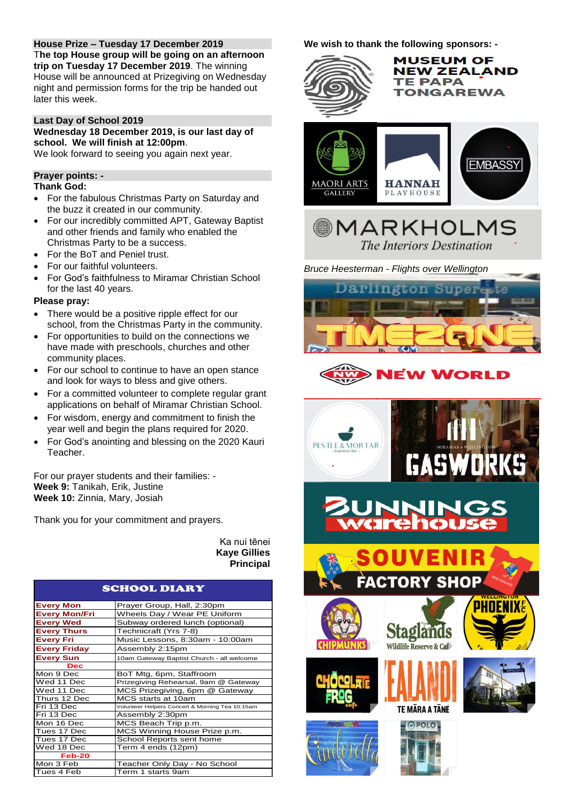#### **House Prize – Tuesday 17 December 2019**

T**he top House group will be going on an afternoon trip on Tuesday 17 December 2019**. The winning House will be announced at Prizegiving on Wednesday night and permission forms for the trip be handed out later this week.

#### **Last Day of School 2019**

**Wednesday 18 December 2019, is our last day of school. We will finish at 12:00pm**.

We look forward to seeing you again next year.

#### **Prayer points: -**

#### **Thank God:**

- For the fabulous Christmas Party on Saturday and the buzz it created in our community.
- For our incredibly committed APT, Gateway Baptist and other friends and family who enabled the Christmas Party to be a success.
- For the BoT and Peniel trust.
- For our faithful volunteers.
- For God's faithfulness to Miramar Christian School for the last 40 years.

#### **Please pray:**

- There would be a positive ripple effect for our school, from the Christmas Party in the community.
- For opportunities to build on the connections we have made with preschools, churches and other community places.
- For our school to continue to have an open stance and look for ways to bless and give others.
- For a committed volunteer to complete regular grant applications on behalf of Miramar Christian School.
- For wisdom, energy and commitment to finish the year well and begin the plans required for 2020.
- For God's anointing and blessing on the 2020 Kauri Teacher.

For our prayer students and their families: - **Week 9:** Tanikah, Erik, Justine **Week 10:** Zinnia, Mary, Josiah

Thank you for your commitment and prayers.

Ka nui tēnei **Kaye Gillies Principal**

#### SCHOOL DIARY

| <b>Every Mon</b>     | Prayer Group, Hall, 2:30pm                      |
|----------------------|-------------------------------------------------|
| <b>Every Mon/Fri</b> | Wheels Day / Wear PE Uniform                    |
| <b>Every Wed</b>     | Subway ordered lunch (optional)                 |
| <b>Every Thurs</b>   | Technicraft (Yrs 7-8)                           |
| <b>Every Fri</b>     | Music Lessons, 8:30am - 10:00am                 |
| <b>Every Friday</b>  | Assembly 2:15pm                                 |
| <b>Every Sun</b>     | 10am Gateway Baptist Church - all welcome       |
| Dec                  |                                                 |
| Mon 9 Dec            | BoT Mtg, 6pm, Staffroom                         |
| Wed 11 Dec           | Prizegiving Rehearsal, 9am @ Gateway            |
| Wed 11 Dec           | MCS Prizegiving, 6pm @ Gateway                  |
| Thurs 12 Dec         | MCS starts at 10am                              |
| Fri 13 Dec           | Volunteer Helpers Concert & Morning Tea 10:15am |
| Fri 13 Dec           | Assembly 2:30pm                                 |
| Mon 16 Dec           | MCS Beach Trip p.m.                             |
| Tues 17 Dec          | MCS Winning House Prize p.m.                    |
| Tues 17 Dec          | School Reports sent home                        |
| Wed 18 Dec           | Term 4 ends (12pm)                              |
| Feb-20               |                                                 |
| Mon 3 Feb            | Teacher Only Day - No School                    |
| Tues 4 Feb           | Term 1 starts 9am                               |

**We wish to thank the following sponsors: -**

## **MUSEUM OF NEW ZEALAND TE PAPA TONGAREWA EMBASSY MAORI ARTS HANNAH GALLERY** PLAYHOUSE **MARKHOLMS**

*Bruce Heesterman - Flights over Wellington*



The Interiors Destination



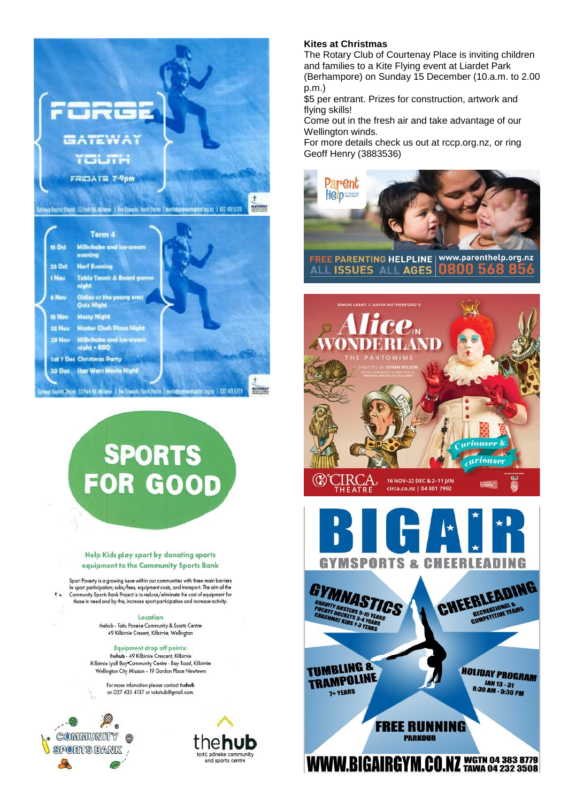

# SPORTS<br>FOR GOOD

#### Help Kids play sport by donating sports equipment to the Community Sports Bank

Sport Poverty is a growing issue within our communities with three main barriers to sport participation; subs/fees, equipment costs, and transport. The aim of the<br>Community Sports Bank Project is to reduce/eliminate the cost of equipment for those in need and by this, increase sport participation and increase activity.

> Location thehub - Toitu Poneke Community & Sports Centre 49 Kilbirnie Cresent, Kilbirnie, Wellington

Equipment drop off points: thehub - 49 Kilbirnie Crescent, Kilbirnie Kilbirnie Lyall Bay\*Community Centre - Bay Road, Kilbirnie Wellington City Mission - 19 Gordon Place Newtown

> For more infomation please contact thehub on 027 435 4137 or toituhub@gmail.com.



 $\mathbf{r}$ 



#### **Kites at Christmas**

The Rotary Club of Courtenay Place is inviting children and families to a Kite Flying event at Liardet Park (Berhampore) on Sunday 15 December (10.a.m. to 2.00 p.m.)

\$5 per entrant. Prizes for construction, artwork and flying skills!

Come out in the fresh air and take advantage of our Wellington winds.

For more details check us out at rccp.org.nz, or ring Geoff Henry (3883536)



FREE PARENTING HELPLINE | www.parenthelp.org.nz **ISSUES ALL AGES** 0800





**WWW.BIGAIRGYM.CO.NZ** WGTN 04 383 8779